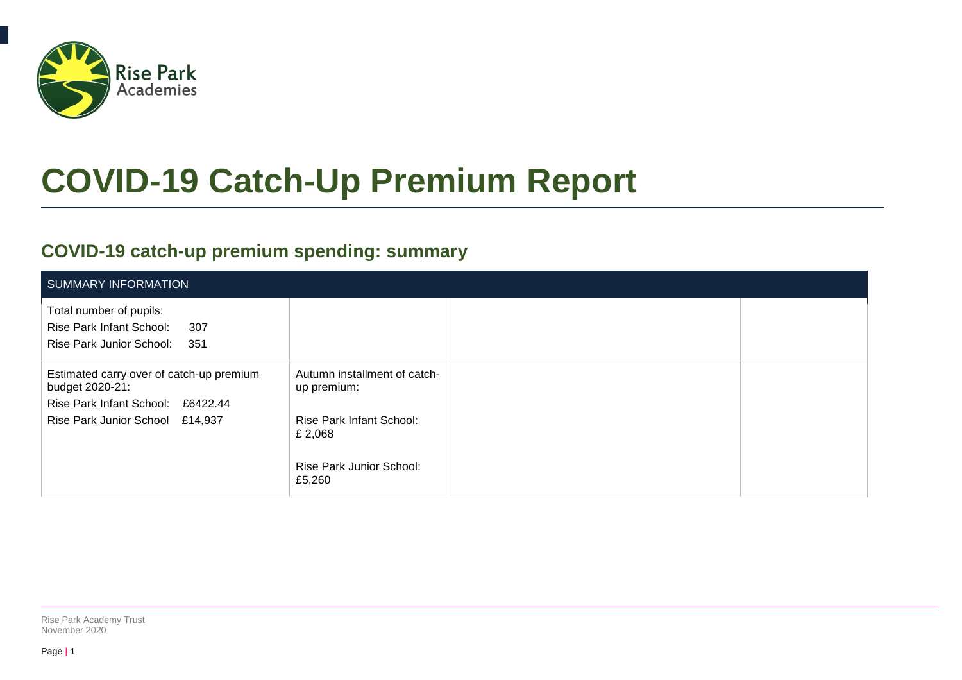

# **COVID-19 Catch-Up Premium Report**

### **COVID-19 catch-up premium spending: summary**

| SUMMARY INFORMATION                                                                                                                 |                                                                                                                          |  |
|-------------------------------------------------------------------------------------------------------------------------------------|--------------------------------------------------------------------------------------------------------------------------|--|
| Total number of pupils:<br>Rise Park Infant School:<br>307<br>Rise Park Junior School:<br>351                                       |                                                                                                                          |  |
| Estimated carry over of catch-up premium<br>budget 2020-21:<br>Rise Park Infant School: £6422.44<br>Rise Park Junior School £14,937 | Autumn installment of catch-<br>up premium:<br>Rise Park Infant School:<br>£ 2,068<br>Rise Park Junior School:<br>£5,260 |  |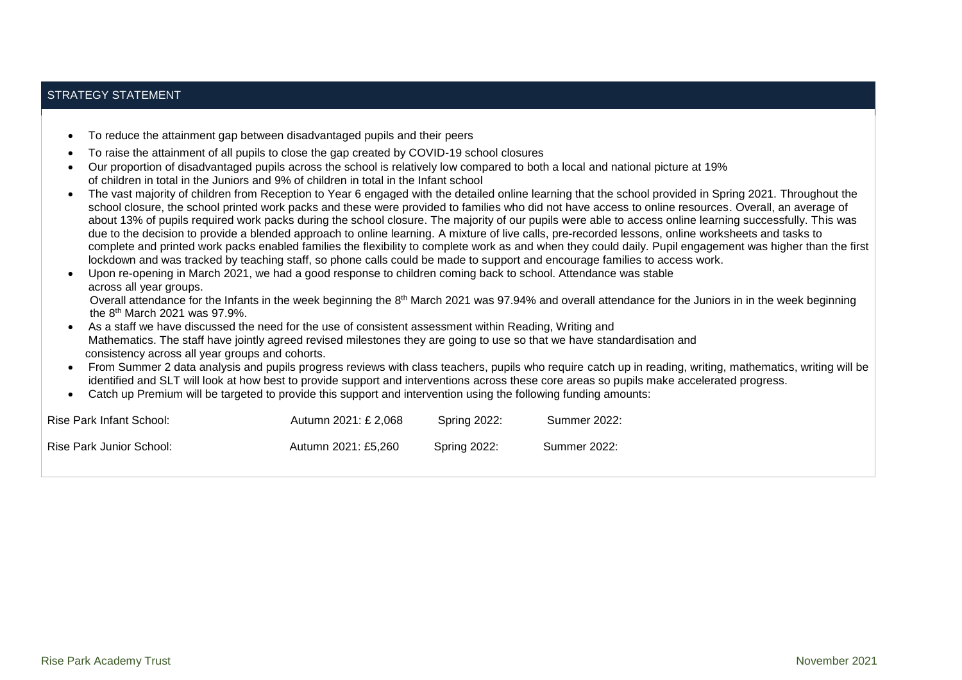#### STRATEGY STATEMENT

|                                                 | To reduce the attainment gap between disadvantaged pupils and their peers                                                                                                                                                                                     |                     |                                                                                                                                                                                                                                                                                                                   |  |  |  |  |  |
|-------------------------------------------------|---------------------------------------------------------------------------------------------------------------------------------------------------------------------------------------------------------------------------------------------------------------|---------------------|-------------------------------------------------------------------------------------------------------------------------------------------------------------------------------------------------------------------------------------------------------------------------------------------------------------------|--|--|--|--|--|
|                                                 | To raise the attainment of all pupils to close the gap created by COVID-19 school closures                                                                                                                                                                    |                     |                                                                                                                                                                                                                                                                                                                   |  |  |  |  |  |
|                                                 |                                                                                                                                                                                                                                                               |                     | Our proportion of disadvantaged pupils across the school is relatively low compared to both a local and national picture at 19%                                                                                                                                                                                   |  |  |  |  |  |
|                                                 | of children in total in the Juniors and 9% of children in total in the Infant school                                                                                                                                                                          |                     |                                                                                                                                                                                                                                                                                                                   |  |  |  |  |  |
|                                                 |                                                                                                                                                                                                                                                               |                     | The vast majority of children from Reception to Year 6 engaged with the detailed online learning that the school provided in Spring 2021. Throughout the<br>school closure, the school printed work packs and these were provided to families who did not have access to online resources. Overall, an average of |  |  |  |  |  |
|                                                 |                                                                                                                                                                                                                                                               |                     | about 13% of pupils required work packs during the school closure. The majority of our pupils were able to access online learning successfully. This was                                                                                                                                                          |  |  |  |  |  |
|                                                 |                                                                                                                                                                                                                                                               |                     | due to the decision to provide a blended approach to online learning. A mixture of live calls, pre-recorded lessons, online worksheets and tasks to                                                                                                                                                               |  |  |  |  |  |
|                                                 |                                                                                                                                                                                                                                                               |                     | complete and printed work packs enabled families the flexibility to complete work as and when they could daily. Pupil engagement was higher than the first                                                                                                                                                        |  |  |  |  |  |
|                                                 |                                                                                                                                                                                                                                                               |                     | lockdown and was tracked by teaching staff, so phone calls could be made to support and encourage families to access work.                                                                                                                                                                                        |  |  |  |  |  |
|                                                 | Upon re-opening in March 2021, we had a good response to children coming back to school. Attendance was stable                                                                                                                                                |                     |                                                                                                                                                                                                                                                                                                                   |  |  |  |  |  |
| across all year groups.                         |                                                                                                                                                                                                                                                               |                     | Overall attendance for the Infants in the week beginning the 8 <sup>th</sup> March 2021 was 97.94% and overall attendance for the Juniors in in the week beginning                                                                                                                                                |  |  |  |  |  |
| the $8th$ March 2021 was 97.9%.                 |                                                                                                                                                                                                                                                               |                     |                                                                                                                                                                                                                                                                                                                   |  |  |  |  |  |
|                                                 | As a staff we have discussed the need for the use of consistent assessment within Reading, Writing and                                                                                                                                                        |                     |                                                                                                                                                                                                                                                                                                                   |  |  |  |  |  |
|                                                 | Mathematics. The staff have jointly agreed revised milestones they are going to use so that we have standardisation and                                                                                                                                       |                     |                                                                                                                                                                                                                                                                                                                   |  |  |  |  |  |
| consistency across all year groups and cohorts. |                                                                                                                                                                                                                                                               |                     |                                                                                                                                                                                                                                                                                                                   |  |  |  |  |  |
|                                                 | From Summer 2 data analysis and pupils progress reviews with class teachers, pupils who require catch up in reading, writing, mathematics, writing will be                                                                                                    |                     |                                                                                                                                                                                                                                                                                                                   |  |  |  |  |  |
|                                                 | identified and SLT will look at how best to provide support and interventions across these core areas so pupils make accelerated progress.<br>Catch up Premium will be targeted to provide this support and intervention using the following funding amounts: |                     |                                                                                                                                                                                                                                                                                                                   |  |  |  |  |  |
|                                                 |                                                                                                                                                                                                                                                               |                     |                                                                                                                                                                                                                                                                                                                   |  |  |  |  |  |
| <b>Rise Park Infant School:</b>                 | Autumn 2021: £ 2,068                                                                                                                                                                                                                                          | <b>Spring 2022:</b> | <b>Summer 2022:</b>                                                                                                                                                                                                                                                                                               |  |  |  |  |  |
| <b>Rise Park Junior School:</b>                 | Autumn 2021: £5.260                                                                                                                                                                                                                                           | <b>Spring 2022:</b> | Summer 2022:                                                                                                                                                                                                                                                                                                      |  |  |  |  |  |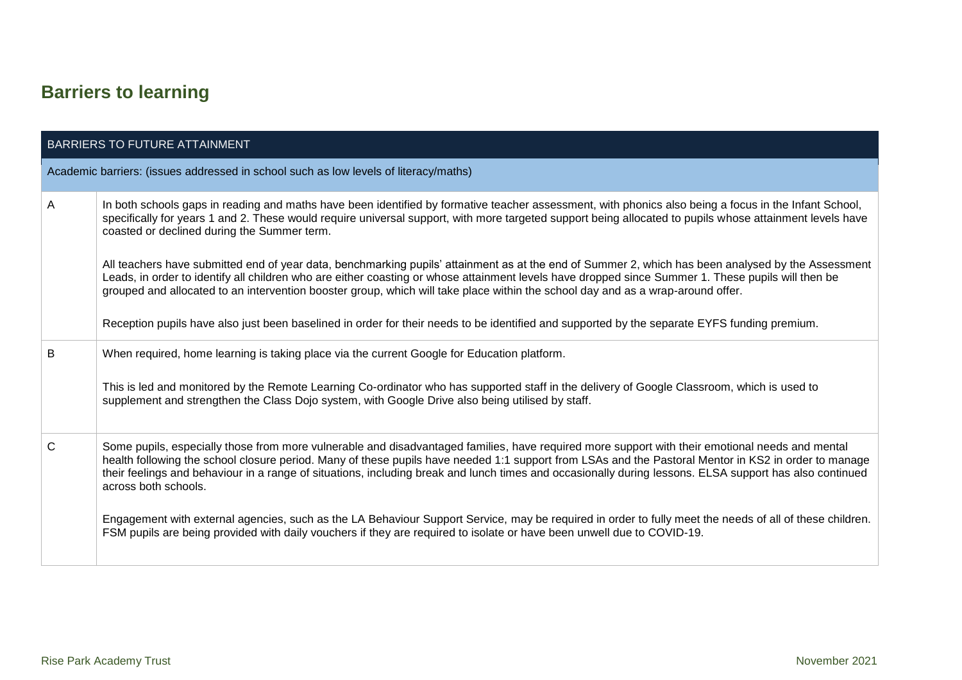## **Barriers to learning**

|              | <b>BARRIERS TO FUTURE ATTAINMENT</b>                                                                                                                                                                                                                                                                                                                                                                                                                                                       |
|--------------|--------------------------------------------------------------------------------------------------------------------------------------------------------------------------------------------------------------------------------------------------------------------------------------------------------------------------------------------------------------------------------------------------------------------------------------------------------------------------------------------|
|              | Academic barriers: (issues addressed in school such as low levels of literacy/maths)                                                                                                                                                                                                                                                                                                                                                                                                       |
| A            | In both schools gaps in reading and maths have been identified by formative teacher assessment, with phonics also being a focus in the Infant School,<br>specifically for years 1 and 2. These would require universal support, with more targeted support being allocated to pupils whose attainment levels have<br>coasted or declined during the Summer term.                                                                                                                           |
|              | All teachers have submitted end of year data, benchmarking pupils' attainment as at the end of Summer 2, which has been analysed by the Assessment<br>Leads, in order to identify all children who are either coasting or whose attainment levels have dropped since Summer 1. These pupils will then be<br>grouped and allocated to an intervention booster group, which will take place within the school day and as a wrap-around offer.                                                |
|              | Reception pupils have also just been baselined in order for their needs to be identified and supported by the separate EYFS funding premium.                                                                                                                                                                                                                                                                                                                                               |
| В            | When required, home learning is taking place via the current Google for Education platform.                                                                                                                                                                                                                                                                                                                                                                                                |
|              | This is led and monitored by the Remote Learning Co-ordinator who has supported staff in the delivery of Google Classroom, which is used to<br>supplement and strengthen the Class Dojo system, with Google Drive also being utilised by staff.                                                                                                                                                                                                                                            |
| $\mathsf{C}$ | Some pupils, especially those from more vulnerable and disadvantaged families, have required more support with their emotional needs and mental<br>health following the school closure period. Many of these pupils have needed 1:1 support from LSAs and the Pastoral Mentor in KS2 in order to manage<br>their feelings and behaviour in a range of situations, including break and lunch times and occasionally during lessons. ELSA support has also continued<br>across both schools. |
|              | Engagement with external agencies, such as the LA Behaviour Support Service, may be required in order to fully meet the needs of all of these children.<br>FSM pupils are being provided with daily vouchers if they are required to isolate or have been unwell due to COVID-19.                                                                                                                                                                                                          |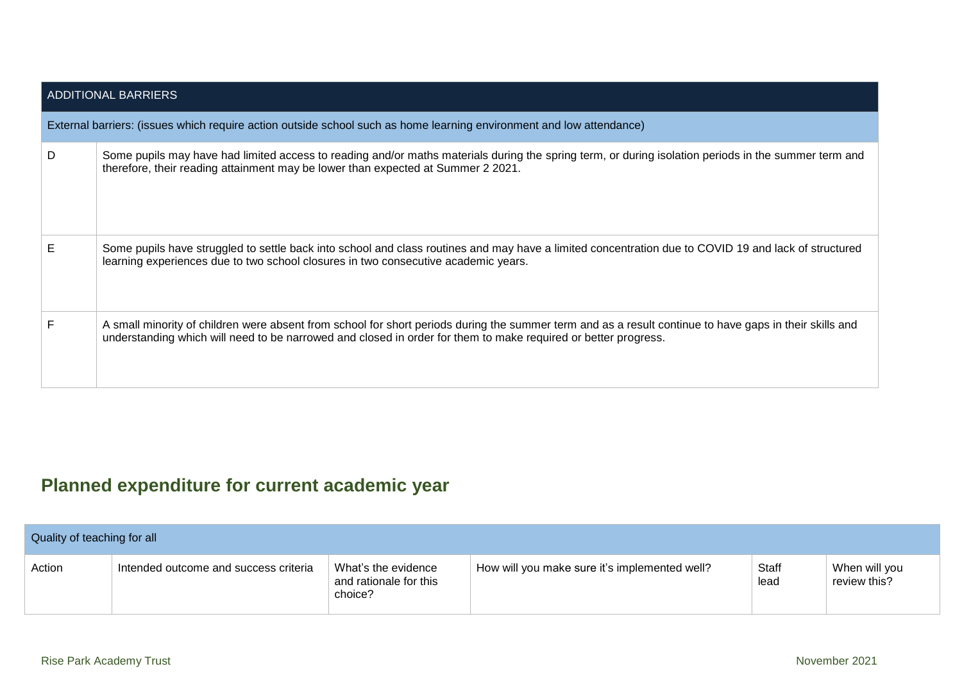| <b>ADDITIONAL BARRIERS</b> |                                                                                                                                                                                                                                                                           |  |  |  |  |
|----------------------------|---------------------------------------------------------------------------------------------------------------------------------------------------------------------------------------------------------------------------------------------------------------------------|--|--|--|--|
|                            | External barriers: (issues which require action outside school such as home learning environment and low attendance)                                                                                                                                                      |  |  |  |  |
| D                          | Some pupils may have had limited access to reading and/or maths materials during the spring term, or during isolation periods in the summer term and<br>therefore, their reading attainment may be lower than expected at Summer 2 2021.                                  |  |  |  |  |
| Е                          | Some pupils have struggled to settle back into school and class routines and may have a limited concentration due to COVID 19 and lack of structured<br>learning experiences due to two school closures in two consecutive academic years.                                |  |  |  |  |
|                            | A small minority of children were absent from school for short periods during the summer term and as a result continue to have gaps in their skills and<br>understanding which will need to be narrowed and closed in order for them to make required or better progress. |  |  |  |  |

### **Planned expenditure for current academic year**

| Quality of teaching for all |                                       |                                                                 |                                               |               |                               |  |
|-----------------------------|---------------------------------------|-----------------------------------------------------------------|-----------------------------------------------|---------------|-------------------------------|--|
| Action                      | Intended outcome and success criteria | <b>What's the evidence</b><br>and rationale for this<br>choice? | How will you make sure it's implemented well? | Staff<br>lead | When will you<br>review this? |  |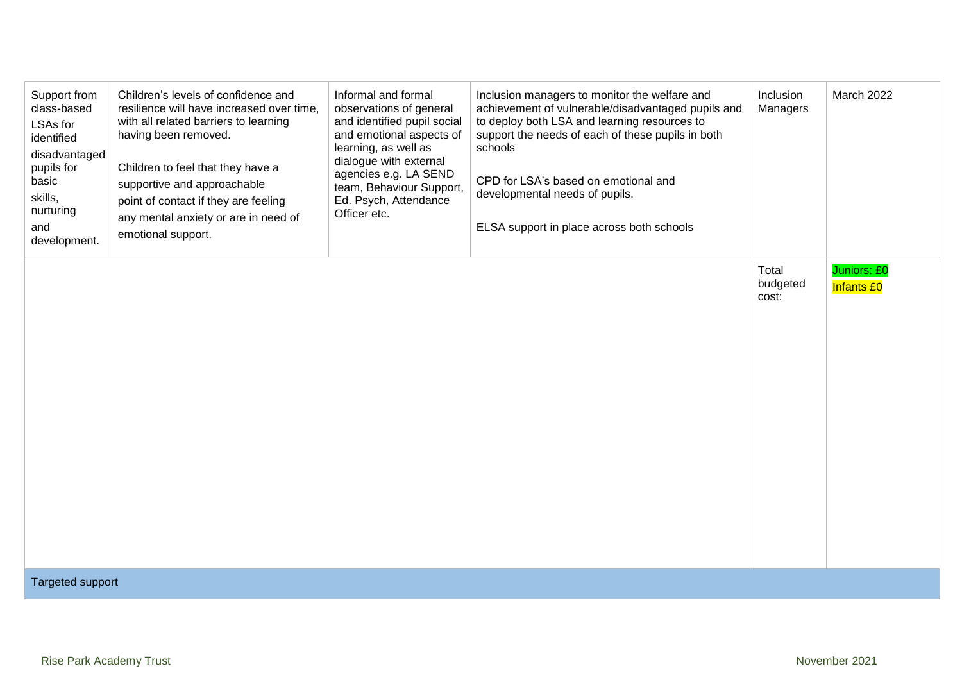| Support from<br>class-based<br>LSAs for<br>identified<br>disadvantaged<br>pupils for<br>basic<br>skills,<br>nurturing<br>and<br>development. | Children's levels of confidence and<br>resilience will have increased over time,<br>with all related barriers to learning<br>having been removed.<br>Children to feel that they have a<br>supportive and approachable<br>point of contact if they are feeling<br>any mental anxiety or are in need of<br>emotional support. | Informal and formal<br>observations of general<br>and identified pupil social<br>and emotional aspects of<br>learning, as well as<br>dialogue with external<br>agencies e.g. LA SEND<br>team, Behaviour Support,<br>Ed. Psych, Attendance<br>Officer etc. | Inclusion managers to monitor the welfare and<br>achievement of vulnerable/disadvantaged pupils and<br>to deploy both LSA and learning resources to<br>support the needs of each of these pupils in both<br>schools<br>CPD for LSA's based on emotional and<br>developmental needs of pupils.<br>ELSA support in place across both schools | Inclusion<br>Managers      | March 2022                       |
|----------------------------------------------------------------------------------------------------------------------------------------------|-----------------------------------------------------------------------------------------------------------------------------------------------------------------------------------------------------------------------------------------------------------------------------------------------------------------------------|-----------------------------------------------------------------------------------------------------------------------------------------------------------------------------------------------------------------------------------------------------------|--------------------------------------------------------------------------------------------------------------------------------------------------------------------------------------------------------------------------------------------------------------------------------------------------------------------------------------------|----------------------------|----------------------------------|
|                                                                                                                                              |                                                                                                                                                                                                                                                                                                                             |                                                                                                                                                                                                                                                           |                                                                                                                                                                                                                                                                                                                                            | Total<br>budgeted<br>cost: | Juniors: £0<br><b>Infants £0</b> |
| <b>Targeted support</b>                                                                                                                      |                                                                                                                                                                                                                                                                                                                             |                                                                                                                                                                                                                                                           |                                                                                                                                                                                                                                                                                                                                            |                            |                                  |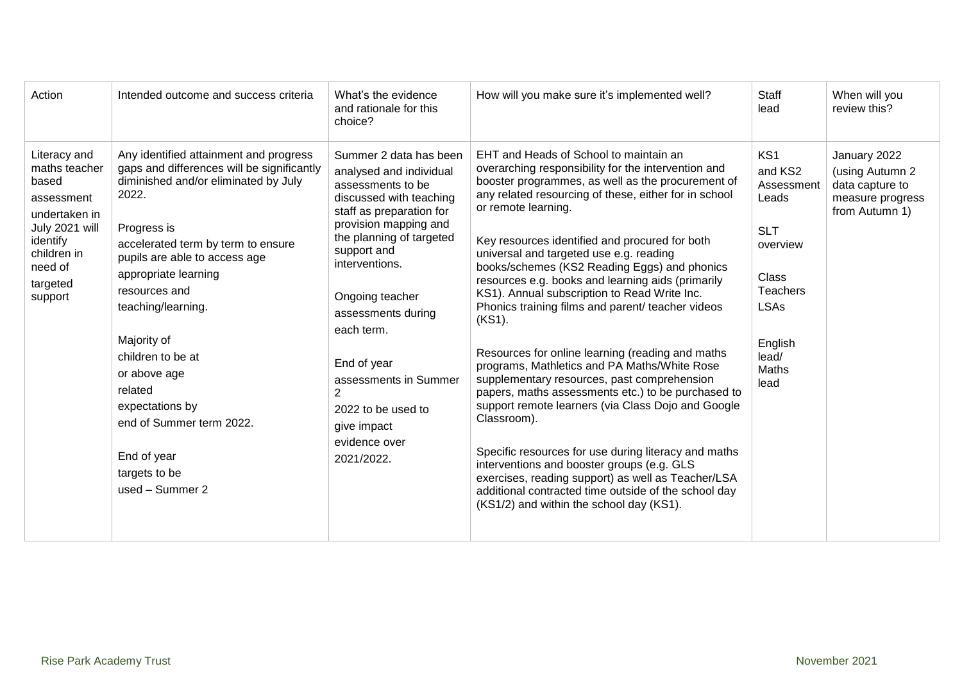| Action                                                                                                                                               | Intended outcome and success criteria                                                                                                                                                                                                                                                                                                                                                                                                                       | What's the evidence<br>and rationale for this<br>choice?                                                                                                                                                                                                                                                                                                                                                 | How will you make sure it's implemented well?                                                                                                                                                                                                                                                                                                                                                                                                                                                                                                                                                                                                                                                                                                                                                                                                                                                                                                                                                                                                                                                     | <b>Staff</b><br>lead                                                                                                                            | When will you<br>review this?                                                            |
|------------------------------------------------------------------------------------------------------------------------------------------------------|-------------------------------------------------------------------------------------------------------------------------------------------------------------------------------------------------------------------------------------------------------------------------------------------------------------------------------------------------------------------------------------------------------------------------------------------------------------|----------------------------------------------------------------------------------------------------------------------------------------------------------------------------------------------------------------------------------------------------------------------------------------------------------------------------------------------------------------------------------------------------------|---------------------------------------------------------------------------------------------------------------------------------------------------------------------------------------------------------------------------------------------------------------------------------------------------------------------------------------------------------------------------------------------------------------------------------------------------------------------------------------------------------------------------------------------------------------------------------------------------------------------------------------------------------------------------------------------------------------------------------------------------------------------------------------------------------------------------------------------------------------------------------------------------------------------------------------------------------------------------------------------------------------------------------------------------------------------------------------------------|-------------------------------------------------------------------------------------------------------------------------------------------------|------------------------------------------------------------------------------------------|
| Literacy and<br>maths teacher<br>based<br>assessment<br>undertaken in<br>July 2021 will<br>identify<br>children in<br>need of<br>targeted<br>support | Any identified attainment and progress<br>gaps and differences will be significantly<br>diminished and/or eliminated by July<br>2022.<br>Progress is<br>accelerated term by term to ensure<br>pupils are able to access age<br>appropriate learning<br>resources and<br>teaching/learning.<br>Majority of<br>children to be at<br>or above age<br>related<br>expectations by<br>end of Summer term 2022.<br>End of year<br>targets to be<br>used - Summer 2 | Summer 2 data has been<br>analysed and individual<br>assessments to be<br>discussed with teaching<br>staff as preparation for<br>provision mapping and<br>the planning of targeted<br>support and<br>interventions.<br>Ongoing teacher<br>assessments during<br>each term.<br>End of year<br>assessments in Summer<br>$\overline{2}$<br>2022 to be used to<br>give impact<br>evidence over<br>2021/2022. | EHT and Heads of School to maintain an<br>overarching responsibility for the intervention and<br>booster programmes, as well as the procurement of<br>any related resourcing of these, either for in school<br>or remote learning.<br>Key resources identified and procured for both<br>universal and targeted use e.g. reading<br>books/schemes (KS2 Reading Eggs) and phonics<br>resources e.g. books and learning aids (primarily<br>KS1). Annual subscription to Read Write Inc.<br>Phonics training films and parent/ teacher videos<br>(KS1).<br>Resources for online learning (reading and maths<br>programs, Mathletics and PA Maths/White Rose<br>supplementary resources, past comprehension<br>papers, maths assessments etc.) to be purchased to<br>support remote learners (via Class Dojo and Google<br>Classroom).<br>Specific resources for use during literacy and maths<br>interventions and booster groups (e.g. GLS<br>exercises, reading support) as well as Teacher/LSA<br>additional contracted time outside of the school day<br>(KS1/2) and within the school day (KS1). | KS1<br>and KS2<br>Assessment<br>Leads<br><b>SLT</b><br>overview<br>Class<br><b>Teachers</b><br><b>LSAs</b><br>English<br>lead/<br>Maths<br>lead | January 2022<br>(using Autumn 2<br>data capture to<br>measure progress<br>from Autumn 1) |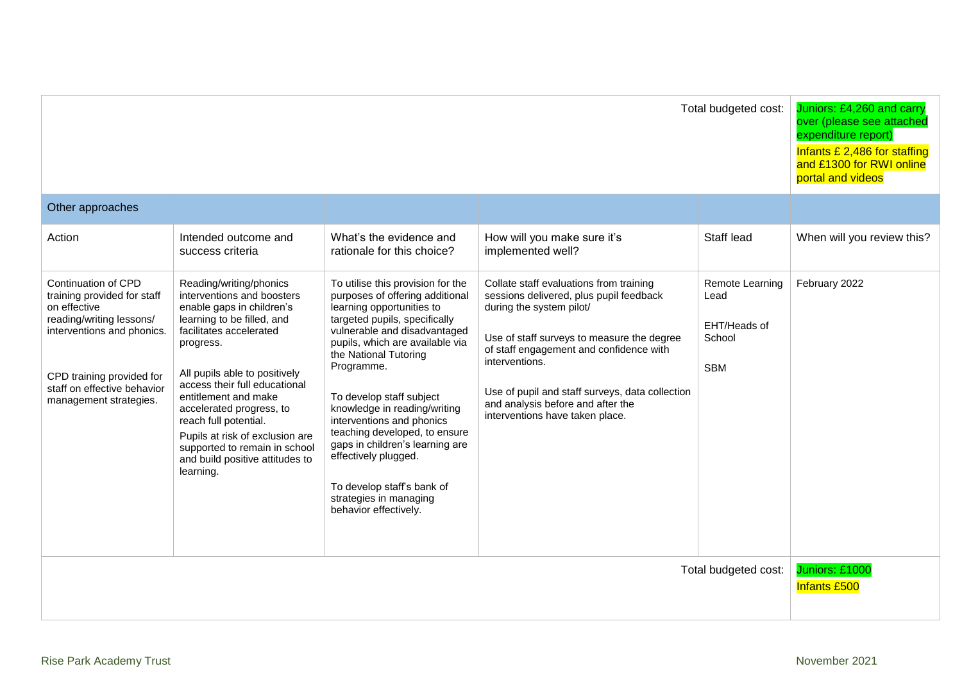| Total budgeted cost:                                                                                                                                                                                               |                                                                                                                                                                                                                                                                                                                                                                                                                             |                                                                                                                                                                                                                                                                                                                                                                                                                                                                                                                    |                                                                                                                                                                                                                                                                                                                                                      | Juniors: £4,260 and carry<br>over (please see attached<br>expenditure report)<br>Infants £ 2,486 for staffing<br>and £1300 for RWI online<br>portal and videos |                                       |
|--------------------------------------------------------------------------------------------------------------------------------------------------------------------------------------------------------------------|-----------------------------------------------------------------------------------------------------------------------------------------------------------------------------------------------------------------------------------------------------------------------------------------------------------------------------------------------------------------------------------------------------------------------------|--------------------------------------------------------------------------------------------------------------------------------------------------------------------------------------------------------------------------------------------------------------------------------------------------------------------------------------------------------------------------------------------------------------------------------------------------------------------------------------------------------------------|------------------------------------------------------------------------------------------------------------------------------------------------------------------------------------------------------------------------------------------------------------------------------------------------------------------------------------------------------|----------------------------------------------------------------------------------------------------------------------------------------------------------------|---------------------------------------|
| Other approaches                                                                                                                                                                                                   |                                                                                                                                                                                                                                                                                                                                                                                                                             |                                                                                                                                                                                                                                                                                                                                                                                                                                                                                                                    |                                                                                                                                                                                                                                                                                                                                                      |                                                                                                                                                                |                                       |
| Action                                                                                                                                                                                                             | Intended outcome and<br>success criteria                                                                                                                                                                                                                                                                                                                                                                                    | What's the evidence and<br>rationale for this choice?                                                                                                                                                                                                                                                                                                                                                                                                                                                              | How will you make sure it's<br>implemented well?                                                                                                                                                                                                                                                                                                     | Staff lead                                                                                                                                                     | When will you review this?            |
| Continuation of CPD<br>training provided for staff<br>on effective<br>reading/writing lessons/<br>interventions and phonics.<br>CPD training provided for<br>staff on effective behavior<br>management strategies. | Reading/writing/phonics<br>interventions and boosters<br>enable gaps in children's<br>learning to be filled, and<br>facilitates accelerated<br>progress.<br>All pupils able to positively<br>access their full educational<br>entitlement and make<br>accelerated progress, to<br>reach full potential.<br>Pupils at risk of exclusion are<br>supported to remain in school<br>and build positive attitudes to<br>learning. | To utilise this provision for the<br>purposes of offering additional<br>learning opportunities to<br>targeted pupils, specifically<br>vulnerable and disadvantaged<br>pupils, which are available via<br>the National Tutoring<br>Programme.<br>To develop staff subject<br>knowledge in reading/writing<br>interventions and phonics<br>teaching developed, to ensure<br>gaps in children's learning are<br>effectively plugged.<br>To develop staff's bank of<br>strategies in managing<br>behavior effectively. | Collate staff evaluations from training<br>sessions delivered, plus pupil feedback<br>during the system pilot/<br>Use of staff surveys to measure the degree<br>of staff engagement and confidence with<br>interventions.<br>Use of pupil and staff surveys, data collection<br>and analysis before and after the<br>interventions have taken place. | Remote Learning<br>Lead<br>EHT/Heads of<br>School<br><b>SBM</b>                                                                                                | February 2022                         |
|                                                                                                                                                                                                                    |                                                                                                                                                                                                                                                                                                                                                                                                                             |                                                                                                                                                                                                                                                                                                                                                                                                                                                                                                                    |                                                                                                                                                                                                                                                                                                                                                      | Total budgeted cost:                                                                                                                                           | Juniors: £1000<br><b>Infants £500</b> |